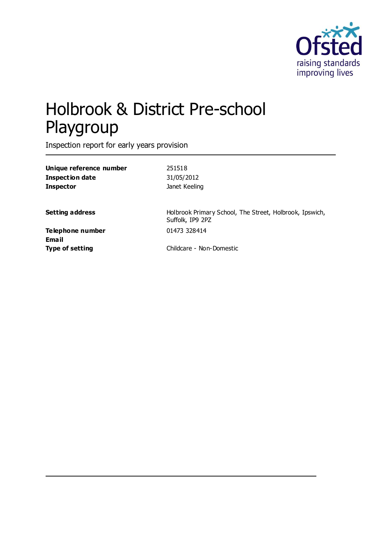

# Holbrook & District Pre-school Playgroup

Inspection report for early years provision

| Unique reference number | 251518                                                                      |
|-------------------------|-----------------------------------------------------------------------------|
| <b>Inspection date</b>  | 31/05/2012                                                                  |
| <b>Inspector</b>        | Janet Keeling                                                               |
| <b>Setting address</b>  | Holbrook Primary School, The Street, Holbrook, Ipswich,<br>Suffolk, IP9 2PZ |
| Telephone number        | 01473 328414                                                                |
| <b>Email</b>            |                                                                             |
| <b>Type of setting</b>  | Childcare - Non-Domestic                                                    |
|                         |                                                                             |
|                         |                                                                             |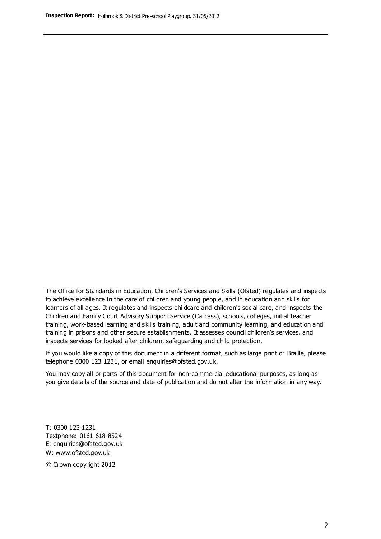The Office for Standards in Education, Children's Services and Skills (Ofsted) regulates and inspects to achieve excellence in the care of children and young people, and in education and skills for learners of all ages. It regulates and inspects childcare and children's social care, and inspects the Children and Family Court Advisory Support Service (Cafcass), schools, colleges, initial teacher training, work-based learning and skills training, adult and community learning, and education and training in prisons and other secure establishments. It assesses council children's services, and inspects services for looked after children, safeguarding and child protection.

If you would like a copy of this document in a different format, such as large print or Braille, please telephone 0300 123 1231, or email enquiries@ofsted.gov.uk.

You may copy all or parts of this document for non-commercial educational purposes, as long as you give details of the source and date of publication and do not alter the information in any way.

T: 0300 123 1231 Textphone: 0161 618 8524 E: enquiries@ofsted.gov.uk W: [www.ofsted.gov.uk](http://www.ofsted.gov.uk/)

© Crown copyright 2012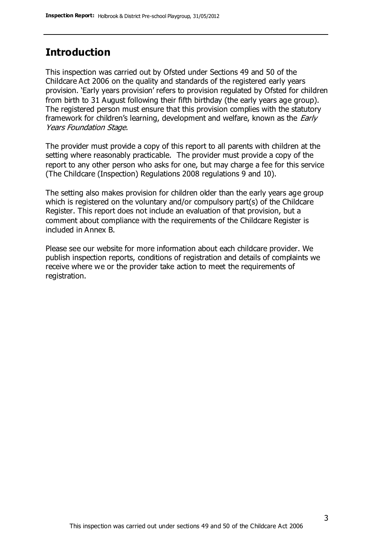#### **Introduction**

This inspection was carried out by Ofsted under Sections 49 and 50 of the Childcare Act 2006 on the quality and standards of the registered early years provision. 'Early years provision' refers to provision regulated by Ofsted for children from birth to 31 August following their fifth birthday (the early years age group). The registered person must ensure that this provision complies with the statutory framework for children's learning, development and welfare, known as the *Early* Years Foundation Stage.

The provider must provide a copy of this report to all parents with children at the setting where reasonably practicable. The provider must provide a copy of the report to any other person who asks for one, but may charge a fee for this service (The Childcare (Inspection) Regulations 2008 regulations 9 and 10).

The setting also makes provision for children older than the early years age group which is registered on the voluntary and/or compulsory part(s) of the Childcare Register. This report does not include an evaluation of that provision, but a comment about compliance with the requirements of the Childcare Register is included in Annex B.

Please see our website for more information about each childcare provider. We publish inspection reports, conditions of registration and details of complaints we receive where we or the provider take action to meet the requirements of registration.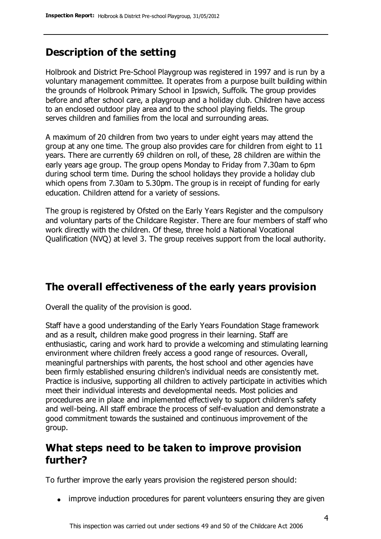# **Description of the setting**

Holbrook and District Pre-School Playgroup was registered in 1997 and is run by a voluntary management committee. It operates from a purpose built building within the grounds of Holbrook Primary School in Ipswich, Suffolk. The group provides before and after school care, a playgroup and a holiday club. Children have access to an enclosed outdoor play area and to the school playing fields. The group serves children and families from the local and surrounding areas.

A maximum of 20 children from two years to under eight years may attend the group at any one time. The group also provides care for children from eight to 11 years. There are currently 69 children on roll, of these, 28 children are within the early years age group. The group opens Monday to Friday from 7.30am to 6pm during school term time. During the school holidays they provide a holiday club which opens from 7.30am to 5.30pm. The group is in receipt of funding for early education. Children attend for a variety of sessions.

The group is registered by Ofsted on the Early Years Register and the compulsory and voluntary parts of the Childcare Register. There are four members of staff who work directly with the children. Of these, three hold a National Vocational Qualification (NVQ) at level 3. The group receives support from the local authority.

# **The overall effectiveness of the early years provision**

Overall the quality of the provision is good.

Staff have a good understanding of the Early Years Foundation Stage framework and as a result, children make good progress in their learning. Staff are enthusiastic, caring and work hard to provide a welcoming and stimulating learning environment where children freely access a good range of resources. Overall, meaningful partnerships with parents, the host school and other agencies have been firmly established ensuring children's individual needs are consistently met. Practice is inclusive, supporting all children to actively participate in activities which meet their individual interests and developmental needs. Most policies and procedures are in place and implemented effectively to support children's safety and well-being. All staff embrace the process of self-evaluation and demonstrate a good commitment towards the sustained and continuous improvement of the group.

#### **What steps need to be taken to improve provision further?**

To further improve the early years provision the registered person should:

• improve induction procedures for parent volunteers ensuring they are given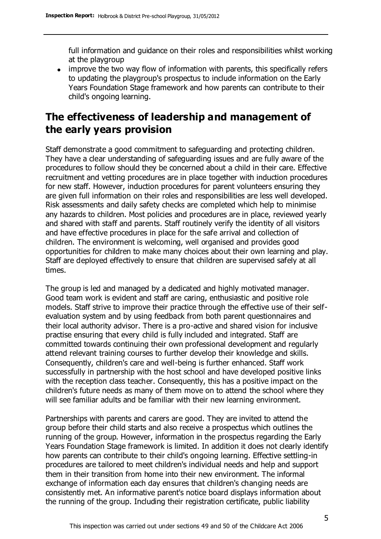full information and guidance on their roles and responsibilities whilst working at the playgroup

• improve the two way flow of information with parents, this specifically refers to updating the playgroup's prospectus to include information on the Early Years Foundation Stage framework and how parents can contribute to their child's ongoing learning.

### **The effectiveness of leadership and management of the early years provision**

Staff demonstrate a good commitment to safeguarding and protecting children. They have a clear understanding of safeguarding issues and are fully aware of the procedures to follow should they be concerned about a child in their care. Effective recruitment and vetting procedures are in place together with induction procedures for new staff. However, induction procedures for parent volunteers ensuring they are given full information on their roles and responsibilities are less well developed. Risk assessments and daily safety checks are completed which help to minimise any hazards to children. Most policies and procedures are in place, reviewed yearly and shared with staff and parents. Staff routinely verify the identity of all visitors and have effective procedures in place for the safe arrival and collection of children. The environment is welcoming, well organised and provides good opportunities for children to make many choices about their own learning and play. Staff are deployed effectively to ensure that children are supervised safely at all times.

The group is led and managed by a dedicated and highly motivated manager. Good team work is evident and staff are caring, enthusiastic and positive role models. Staff strive to improve their practice through the effective use of their selfevaluation system and by using feedback from both parent questionnaires and their local authority advisor. There is a pro-active and shared vision for inclusive practise ensuring that every child is fully included and integrated. Staff are committed towards continuing their own professional development and regularly attend relevant training courses to further develop their knowledge and skills. Consequently, children's care and well-being is further enhanced. Staff work successfully in partnership with the host school and have developed positive links with the reception class teacher. Consequently, this has a positive impact on the children's future needs as many of them move on to attend the school where they will see familiar adults and be familiar with their new learning environment.

Partnerships with parents and carers are good. They are invited to attend the group before their child starts and also receive a prospectus which outlines the running of the group. However, information in the prospectus regarding the Early Years Foundation Stage framework is limited. In addition it does not clearly identify how parents can contribute to their child's ongoing learning. Effective settling-in procedures are tailored to meet children's individual needs and help and support them in their transition from home into their new environment. The informal exchange of information each day ensures that children's changing needs are consistently met. An informative parent's notice board displays information about the running of the group. Including their registration certificate, public liability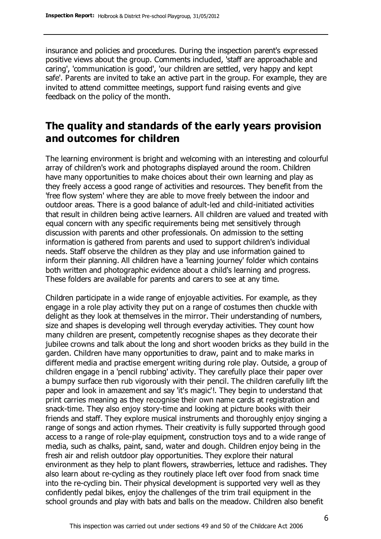insurance and policies and procedures. During the inspection parent's expressed positive views about the group. Comments included, 'staff are approachable and caring', 'communication is good', 'our children are settled, very happy and kept safe'. Parents are invited to take an active part in the group. For example, they are invited to attend committee meetings, support fund raising events and give feedback on the policy of the month.

#### **The quality and standards of the early years provision and outcomes for children**

The learning environment is bright and welcoming with an interesting and colourful array of children's work and photographs displayed around the room. Children have many opportunities to make choices about their own learning and play as they freely access a good range of activities and resources. They benefit from the 'free flow system' where they are able to move freely between the indoor and outdoor areas. There is a good balance of adult-led and child-initiated activities that result in children being active learners. All children are valued and treated with equal concern with any specific requirements being met sensitively through discussion with parents and other professionals. On admission to the setting information is gathered from parents and used to support children's individual needs. Staff observe the children as they play and use information gained to inform their planning. All children have a 'learning journey' folder which contains both written and photographic evidence about a child's learning and progress. These folders are available for parents and carers to see at any time.

Children participate in a wide range of enjoyable activities. For example, as they engage in a role play activity they put on a range of costumes then chuckle with delight as they look at themselves in the mirror. Their understanding of numbers, size and shapes is developing well through everyday activities. They count how many children are present, competently recognise shapes as they decorate their jubilee crowns and talk about the long and short wooden bricks as they build in the garden. Children have many opportunities to draw, paint and to make marks in different media and practise emergent writing during role play. Outside, a group of children engage in a 'pencil rubbing' activity. They carefully place their paper over a bumpy surface then rub vigorously with their pencil. The children carefully lift the paper and look in amazement and say 'it's magic'!. They begin to understand that print carries meaning as they recognise their own name cards at registration and snack-time. They also enjoy story-time and looking at picture books with their friends and staff. They explore musical instruments and thoroughly enjoy singing a range of songs and action rhymes. Their creativity is fully supported through good access to a range of role-play equipment, construction toys and to a wide range of media, such as chalks, paint, sand, water and dough. Children enjoy being in the fresh air and relish outdoor play opportunities. They explore their natural environment as they help to plant flowers, strawberries, lettuce and radishes. They also learn about re-cycling as they routinely place left over food from snack time into the re-cycling bin. Their physical development is supported very well as they confidently pedal bikes, enjoy the challenges of the trim trail equipment in the school grounds and play with bats and balls on the meadow. Children also benefit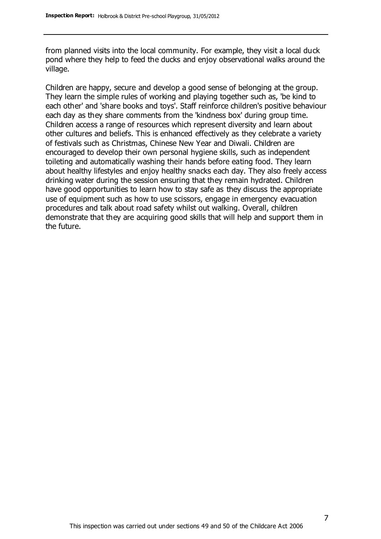from planned visits into the local community. For example, they visit a local duck pond where they help to feed the ducks and enjoy observational walks around the village.

Children are happy, secure and develop a good sense of belonging at the group. They learn the simple rules of working and playing together such as, 'be kind to each other' and 'share books and toys'. Staff reinforce children's positive behaviour each day as they share comments from the 'kindness box' during group time. Children access a range of resources which represent diversity and learn about other cultures and beliefs. This is enhanced effectively as they celebrate a variety of festivals such as Christmas, Chinese New Year and Diwali. Children are encouraged to develop their own personal hygiene skills, such as independent toileting and automatically washing their hands before eating food. They learn about healthy lifestyles and enjoy healthy snacks each day. They also freely access drinking water during the session ensuring that they remain hydrated. Children have good opportunities to learn how to stay safe as they discuss the appropriate use of equipment such as how to use scissors, engage in emergency evacuation procedures and talk about road safety whilst out walking. Overall, children demonstrate that they are acquiring good skills that will help and support them in the future.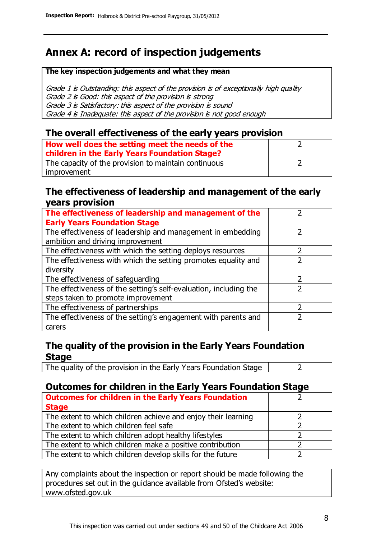# **Annex A: record of inspection judgements**

#### **The key inspection judgements and what they mean**

Grade 1 is Outstanding: this aspect of the provision is of exceptionally high quality Grade 2 is Good: this aspect of the provision is strong Grade 3 is Satisfactory: this aspect of the provision is sound Grade 4 is Inadequate: this aspect of the provision is not good enough

#### **The overall effectiveness of the early years provision**

| How well does the setting meet the needs of the<br>children in the Early Years Foundation Stage? |  |
|--------------------------------------------------------------------------------------------------|--|
| The capacity of the provision to maintain continuous                                             |  |
| improvement                                                                                      |  |

#### **The effectiveness of leadership and management of the early years provision**

| The effectiveness of leadership and management of the             |  |
|-------------------------------------------------------------------|--|
| <b>Early Years Foundation Stage</b>                               |  |
| The effectiveness of leadership and management in embedding       |  |
| ambition and driving improvement                                  |  |
| The effectiveness with which the setting deploys resources        |  |
| The effectiveness with which the setting promotes equality and    |  |
| diversity                                                         |  |
| The effectiveness of safeguarding                                 |  |
| The effectiveness of the setting's self-evaluation, including the |  |
| steps taken to promote improvement                                |  |
| The effectiveness of partnerships                                 |  |
| The effectiveness of the setting's engagement with parents and    |  |
| carers                                                            |  |

#### **The quality of the provision in the Early Years Foundation Stage**

The quality of the provision in the Early Years Foundation Stage  $\vert$  2

#### **Outcomes for children in the Early Years Foundation Stage**

| <b>Outcomes for children in the Early Years Foundation</b>    |  |
|---------------------------------------------------------------|--|
| <b>Stage</b>                                                  |  |
| The extent to which children achieve and enjoy their learning |  |
| The extent to which children feel safe                        |  |
| The extent to which children adopt healthy lifestyles         |  |
| The extent to which children make a positive contribution     |  |
| The extent to which children develop skills for the future    |  |

Any complaints about the inspection or report should be made following the procedures set out in the guidance available from Ofsted's website: www.ofsted.gov.uk